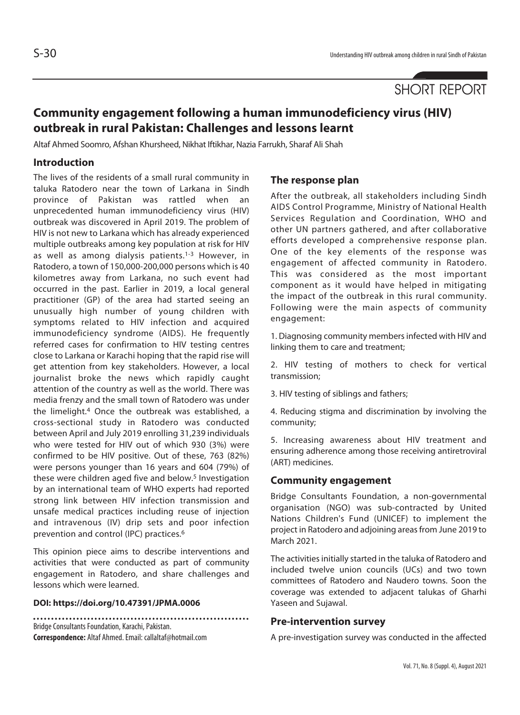SHORT REPORT

# **Community engagement following a human immunodeficiency virus (HIV) outbreak in rural Pakistan: Challenges and lessons learnt**

Altaf Ahmed Soomro, Afshan Khursheed, Nikhat Iftikhar, Nazia Farrukh, Sharaf Ali Shah

### **Introduction**

The lives of the residents of a small rural community in taluka Ratodero near the town of Larkana in Sindh province of Pakistan was rattled when an unprecedented human immunodeficiency virus (HIV) outbreak was discovered in April 2019. The problem of HIV is not new to Larkana which has already experienced multiple outbreaks among key population at risk for HIV as well as among dialysis patients.<sup>1-3</sup> However, in Ratodero, a town of 150,000-200,000 persons which is 40 kilometres away from Larkana, no such event had occurred in the past. Earlier in 2019, a local general practitioner (GP) of the area had started seeing an unusually high number of young children with symptoms related to HIV infection and acquired immunodeficiency syndrome (AIDS). He frequently referred cases for confirmation to HIV testing centres close to Larkana or Karachi hoping that the rapid rise will get attention from key stakeholders. However, a local journalist broke the news which rapidly caught attention of the country as well as the world. There was media frenzy and the small town of Ratodero was under the limelight.4 Once the outbreak was established, a cross-sectional study in Ratodero was conducted between April and July 2019 enrolling 31,239 individuals who were tested for HIV out of which 930 (3%) were confirmed to be HIV positive. Out of these, 763 (82%) were persons younger than 16 years and 604 (79%) of these were children aged five and below.<sup>5</sup> Investigation by an international team of WHO experts had reported strong link between HIV infection transmission and unsafe medical practices including reuse of injection and intravenous (IV) drip sets and poor infection prevention and control (IPC) practices.6

This opinion piece aims to describe interventions and activities that were conducted as part of community engagement in Ratodero, and share challenges and lessons which were learned.

#### **DOI: https://doi.org/10.47391/JPMA.0006**

Bridge Consultants Foundation, Karachi, Pakistan. **Correspondence:** Altaf Ahmed. Email: callaltaf@hotmail.com

### **The response plan**

After the outbreak, all stakeholders including Sindh AIDS Control Programme, Ministry of National Health Services Regulation and Coordination, WHO and other UN partners gathered, and after collaborative efforts developed a comprehensive response plan. One of the key elements of the response was engagement of affected community in Ratodero. This was considered as the most important component as it would have helped in mitigating the impact of the outbreak in this rural community. Following were the main aspects of community engagement:

1. Diagnosing community members infected with HIV and linking them to care and treatment;

2. HIV testing of mothers to check for vertical transmission;

3. HIV testing of siblings and fathers;

4. Reducing stigma and discrimination by involving the community;

5. Increasing awareness about HIV treatment and ensuring adherence among those receiving antiretroviral (ART) medicines.

### **Community engagement**

Bridge Consultants Foundation, a non-governmental organisation (NGO) was sub-contracted by United Nations Children's Fund (UNICEF) to implement the project in Ratodero and adjoining areas from June 2019 to March 2021.

The activities initially started in the taluka of Ratodero and included twelve union councils (UCs) and two town committees of Ratodero and Naudero towns. Soon the coverage was extended to adjacent talukas of Gharhi Yaseen and Sujawal.

### **Pre-intervention survey**

A pre-investigation survey was conducted in the affected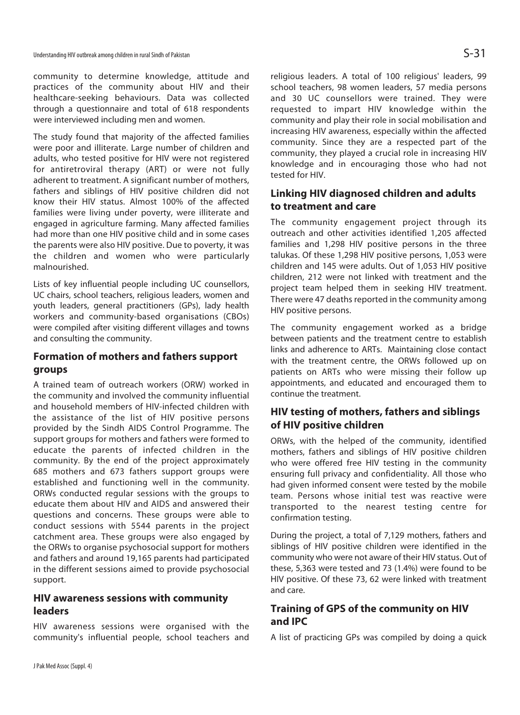community to determine knowledge, attitude and practices of the community about HIV and their healthcare-seeking behaviours. Data was collected through a questionnaire and total of 618 respondents were interviewed including men and women.

The study found that majority of the affected families were poor and illiterate. Large number of children and adults, who tested positive for HIV were not registered for antiretroviral therapy (ART) or were not fully adherent to treatment. A significant number of mothers, fathers and siblings of HIV positive children did not know their HIV status. Almost 100% of the affected families were living under poverty, were illiterate and engaged in agriculture farming. Many affected families had more than one HIV positive child and in some cases the parents were also HIV positive. Due to poverty, it was the children and women who were particularly malnourished.

Lists of key influential people including UC counsellors, UC chairs, school teachers, religious leaders, women and youth leaders, general practitioners (GPs), lady health workers and community-based organisations (CBOs) were compiled after visiting different villages and towns and consulting the community.

## **Formation of mothers and fathers support groups**

A trained team of outreach workers (ORW) worked in the community and involved the community influential and household members of HIV-infected children with the assistance of the list of HIV positive persons provided by the Sindh AIDS Control Programme. The support groups for mothers and fathers were formed to educate the parents of infected children in the community. By the end of the project approximately 685 mothers and 673 fathers support groups were established and functioning well in the community. ORWs conducted regular sessions with the groups to educate them about HIV and AIDS and answered their questions and concerns. These groups were able to conduct sessions with 5544 parents in the project catchment area. These groups were also engaged by the ORWs to organise psychosocial support for mothers and fathers and around 19,165 parents had participated in the different sessions aimed to provide psychosocial support.

### **HIV awareness sessions with community leaders**

HIV awareness sessions were organised with the community's influential people, school teachers and religious leaders. A total of 100 religious' leaders, 99 school teachers, 98 women leaders, 57 media persons and 30 UC counsellors were trained. They were requested to impart HIV knowledge within the community and play their role in social mobilisation and increasing HIV awareness, especially within the affected community. Since they are a respected part of the community, they played a crucial role in increasing HIV knowledge and in encouraging those who had not tested for HIV.

## **Linking HIV diagnosed children and adults to treatment and care**

The community engagement project through its outreach and other activities identified 1,205 affected families and 1,298 HIV positive persons in the three talukas. Of these 1,298 HIV positive persons, 1,053 were children and 145 were adults. Out of 1,053 HIV positive children, 212 were not linked with treatment and the project team helped them in seeking HIV treatment. There were 47 deaths reported in the community among HIV positive persons.

The community engagement worked as a bridge between patients and the treatment centre to establish links and adherence to ARTs. Maintaining close contact with the treatment centre, the ORWs followed up on patients on ARTs who were missing their follow up appointments, and educated and encouraged them to continue the treatment.

## **HIV testing of mothers, fathers and siblings of HIV positive children**

ORWs, with the helped of the community, identified mothers, fathers and siblings of HIV positive children who were offered free HIV testing in the community ensuring full privacy and confidentiality. All those who had given informed consent were tested by the mobile team. Persons whose initial test was reactive were transported to the nearest testing centre for confirmation testing.

During the project, a total of 7,129 mothers, fathers and siblings of HIV positive children were identified in the community who were not aware of their HIV status. Out of these, 5,363 were tested and 73 (1.4%) were found to be HIV positive. Of these 73, 62 were linked with treatment and care.

## **Training of GPS of the community on HIV and IPC**

A list of practicing GPs was compiled by doing a quick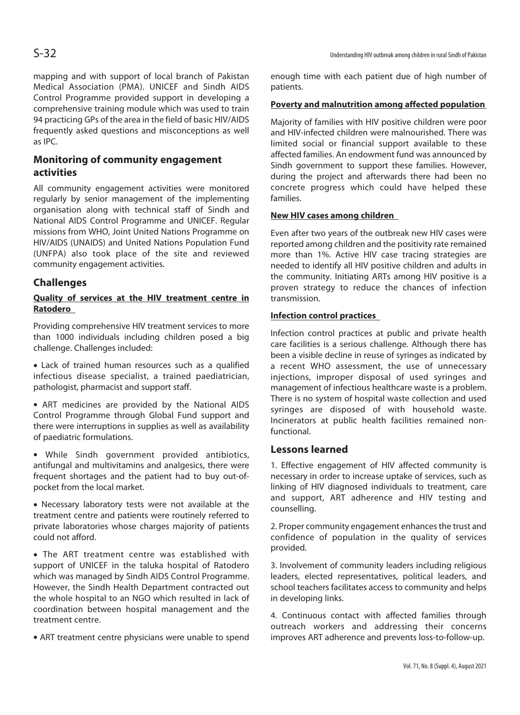mapping and with support of local branch of Pakistan Medical Association (PMA). UNICEF and Sindh AIDS Control Programme provided support in developing a comprehensive training module which was used to train 94 practicing GPs of the area in the field of basic HIV/AIDS frequently asked questions and misconceptions as well as IPC.

## **Monitoring of community engagement activities**

All community engagement activities were monitored regularly by senior management of the implementing organisation along with technical staff of Sindh and National AIDS Control Programme and UNICEF. Regular missions from WHO, Joint United Nations Programme on HIV/AIDS (UNAIDS) and United Nations Population Fund (UNFPA) also took place of the site and reviewed community engagement activities.

### **Challenges**

### **Quality of services at the HIV treatment centre in Ratodero**

Providing comprehensive HIV treatment services to more than 1000 individuals including children posed a big challenge. Challenges included:

• Lack of trained human resources such as a qualified infectious disease specialist, a trained paediatrician, pathologist, pharmacist and support staff.

• ART medicines are provided by the National AIDS Control Programme through Global Fund support and there were interruptions in supplies as well as availability of paediatric formulations.

• While Sindh government provided antibiotics, antifungal and multivitamins and analgesics, there were frequent shortages and the patient had to buy out-ofpocket from the local market.

• Necessary laboratory tests were not available at the treatment centre and patients were routinely referred to private laboratories whose charges majority of patients could not afford.

• The ART treatment centre was established with support of UNICEF in the taluka hospital of Ratodero which was managed by Sindh AIDS Control Programme. However, the Sindh Health Department contracted out the whole hospital to an NGO which resulted in lack of coordination between hospital management and the treatment centre.

• ART treatment centre physicians were unable to spend

enough time with each patient due of high number of patients.

### **Poverty and malnutrition among affected population**

Majority of families with HIV positive children were poor and HIV-infected children were malnourished. There was limited social or financial support available to these affected families. An endowment fund was announced by Sindh government to support these families. However, during the project and afterwards there had been no concrete progress which could have helped these families.

### **New HIV cases among children**

Even after two years of the outbreak new HIV cases were reported among children and the positivity rate remained more than 1%. Active HIV case tracing strategies are needed to identify all HIV positive children and adults in the community. Initiating ARTs among HIV positive is a proven strategy to reduce the chances of infection transmission.

#### **Infection control practices**

Infection control practices at public and private health care facilities is a serious challenge. Although there has been a visible decline in reuse of syringes as indicated by a recent WHO assessment, the use of unnecessary injections, improper disposal of used syringes and management of infectious healthcare waste is a problem. There is no system of hospital waste collection and used syringes are disposed of with household waste. Incinerators at public health facilities remained nonfunctional.

### **Lessons learned**

1. Effective engagement of HIV affected community is necessary in order to increase uptake of services, such as linking of HIV diagnosed individuals to treatment, care and support, ART adherence and HIV testing and counselling.

2. Proper community engagement enhances the trust and confidence of population in the quality of services provided.

3. Involvement of community leaders including religious leaders, elected representatives, political leaders, and school teachers facilitates access to community and helps in developing links.

4. Continuous contact with affected families through outreach workers and addressing their concerns improves ART adherence and prevents loss-to-follow-up.